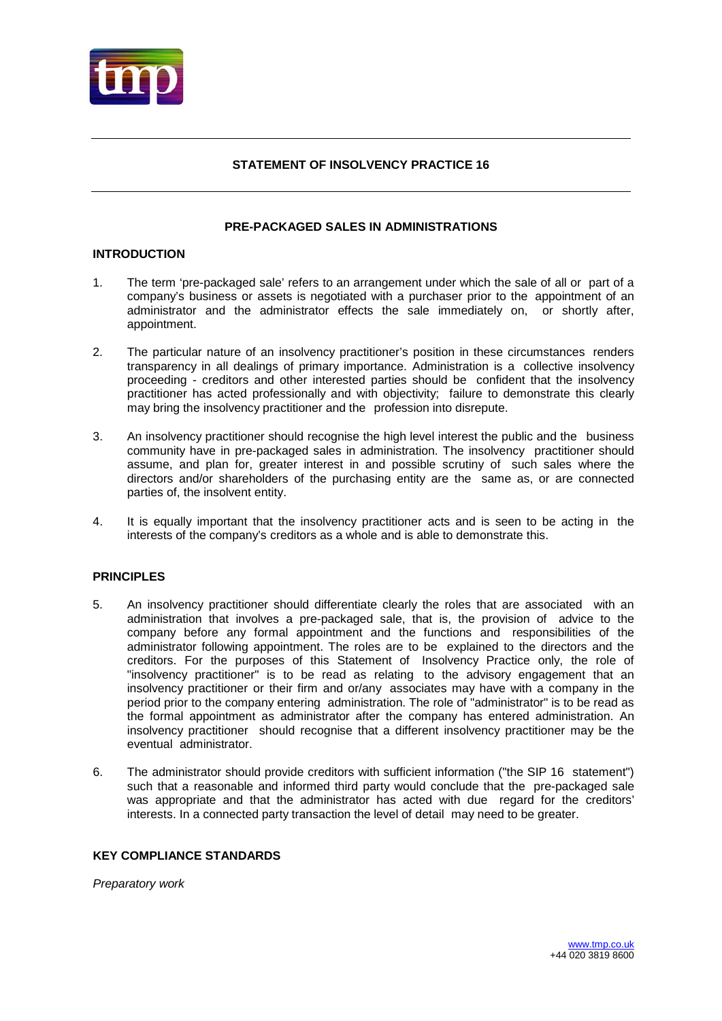

# **STATEMENT OF INSOLVENCY PRACTICE 16**

# **PRE-PACKAGED SALES IN ADMINISTRATIONS**

## **INTRODUCTION**

- 1. The term 'pre-packaged sale' refers to an arrangement under which the sale of all or part of a company's business or assets is negotiated with a purchaser prior to the appointment of an administrator and the administrator effects the sale immediately on, or shortly after, appointment.
- 2. The particular nature of an insolvency practitioner's position in these circumstances renders transparency in all dealings of primary importance. Administration is a collective insolvency proceeding - creditors and other interested parties should be confident that the insolvency practitioner has acted professionally and with objectivity; failure to demonstrate this clearly may bring the insolvency practitioner and the profession into disrepute.
- 3. An insolvency practitioner should recognise the high level interest the public and the business community have in pre-packaged sales in administration. The insolvency practitioner should assume, and plan for, greater interest in and possible scrutiny of such sales where the directors and/or shareholders of the purchasing entity are the same as, or are connected parties of, the insolvent entity.
- 4. It is equally important that the insolvency practitioner acts and is seen to be acting in the interests of the company's creditors as a whole and is able to demonstrate this.

# **PRINCIPLES**

- 5. An insolvency practitioner should differentiate clearly the roles that are associated with an administration that involves a pre-packaged sale, that is, the provision of advice to the company before any formal appointment and the functions and responsibilities of the administrator following appointment. The roles are to be explained to the directors and the creditors. For the purposes of this Statement of Insolvency Practice only, the role of "insolvency practitioner" is to be read as relating to the advisory engagement that an insolvency practitioner or their firm and or/any associates may have with a company in the period prior to the company entering administration. The role of "administrator" is to be read as the formal appointment as administrator after the company has entered administration. An insolvency practitioner should recognise that a different insolvency practitioner may be the eventual administrator.
- 6. The administrator should provide creditors with sufficient information ("the SIP 16 statement") such that a reasonable and informed third party would conclude that the pre-packaged sale was appropriate and that the administrator has acted with due regard for the creditors' interests. In a connected party transaction the level of detail may need to be greater.

## **KEY COMPLIANCE STANDARDS**

*Preparatory work*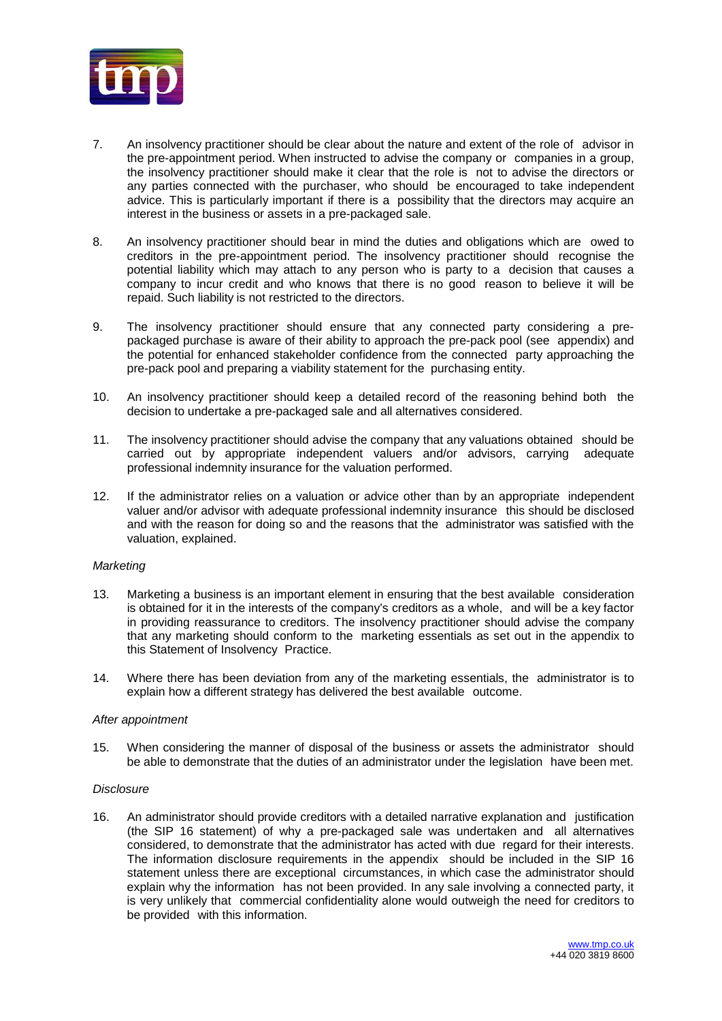

- 7. An insolvency practitioner should be clear about the nature and extent of the role of advisor in the pre-appointment period. When instructed to advise the company or companies in a group, the insolvency practitioner should make it clear that the role is not to advise the directors or any parties connected with the purchaser, who should be encouraged to take independent advice. This is particularly important if there is a possibility that the directors may acquire an interest in the business or assets in a pre-packaged sale.
- 8. An insolvency practitioner should bear in mind the duties and obligations which are owed to creditors in the pre-appointment period. The insolvency practitioner should recognise the potential liability which may attach to any person who is party to a decision that causes a company to incur credit and who knows that there is no good reason to believe it will be repaid. Such liability is not restricted to the directors.
- 9. The insolvency practitioner should ensure that any connected party considering a prepackaged purchase is aware of their ability to approach the pre-pack pool (see appendix) and the potential for enhanced stakeholder confidence from the connected party approaching the pre-pack pool and preparing a viability statement for the purchasing entity.
- 10. An insolvency practitioner should keep a detailed record of the reasoning behind both the decision to undertake a pre-packaged sale and all alternatives considered.
- 11. The insolvency practitioner should advise the company that any valuations obtained should be carried out by appropriate independent valuers and/or advisors, carrying adequate professional indemnity insurance for the valuation performed.
- 12. If the administrator relies on a valuation or advice other than by an appropriate independent valuer and/or advisor with adequate professional indemnity insurance this should be disclosed and with the reason for doing so and the reasons that the administrator was satisfied with the valuation, explained.

### *Marketing*

- 13. Marketing a business is an important element in ensuring that the best available consideration is obtained for it in the interests of the company's creditors as a whole, and will be a key factor in providing reassurance to creditors. The insolvency practitioner should advise the company that any marketing should conform to the marketing essentials as set out in the appendix to this Statement of Insolvency Practice.
- 14. Where there has been deviation from any of the marketing essentials, the administrator is to explain how a different strategy has delivered the best available outcome.

## *After appointment*

15. When considering the manner of disposal of the business or assets the administrator should be able to demonstrate that the duties of an administrator under the legislation have been met.

### *Disclosure*

16. An administrator should provide creditors with a detailed narrative explanation and justification (the SIP 16 statement) of why a pre-packaged sale was undertaken and all alternatives considered, to demonstrate that the administrator has acted with due regard for their interests. The information disclosure requirements in the appendix should be included in the SIP 16 statement unless there are exceptional circumstances, in which case the administrator should explain why the information has not been provided. In any sale involving a connected party, it is very unlikely that commercial confidentiality alone would outweigh the need for creditors to be provided with this information.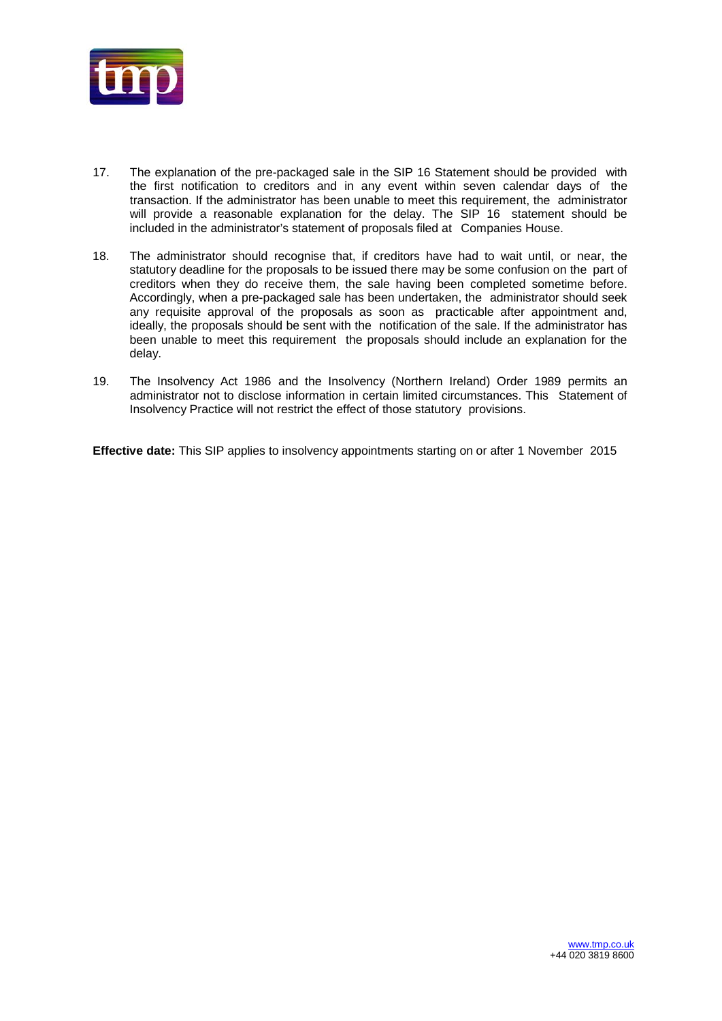

- 17. The explanation of the pre-packaged sale in the SIP 16 Statement should be provided with the first notification to creditors and in any event within seven calendar days of the transaction. If the administrator has been unable to meet this requirement, the administrator will provide a reasonable explanation for the delay. The SIP 16 statement should be included in the administrator's statement of proposals filed at Companies House.
- 18. The administrator should recognise that, if creditors have had to wait until, or near, the statutory deadline for the proposals to be issued there may be some confusion on the part of creditors when they do receive them, the sale having been completed sometime before. Accordingly, when a pre-packaged sale has been undertaken, the administrator should seek any requisite approval of the proposals as soon as practicable after appointment and, ideally, the proposals should be sent with the notification of the sale. If the administrator has been unable to meet this requirement the proposals should include an explanation for the delay.
- 19. The Insolvency Act 1986 and the Insolvency (Northern Ireland) Order 1989 permits an administrator not to disclose information in certain limited circumstances. This Statement of Insolvency Practice will not restrict the effect of those statutory provisions.

**Effective date:** This SIP applies to insolvency appointments starting on or after 1 November 2015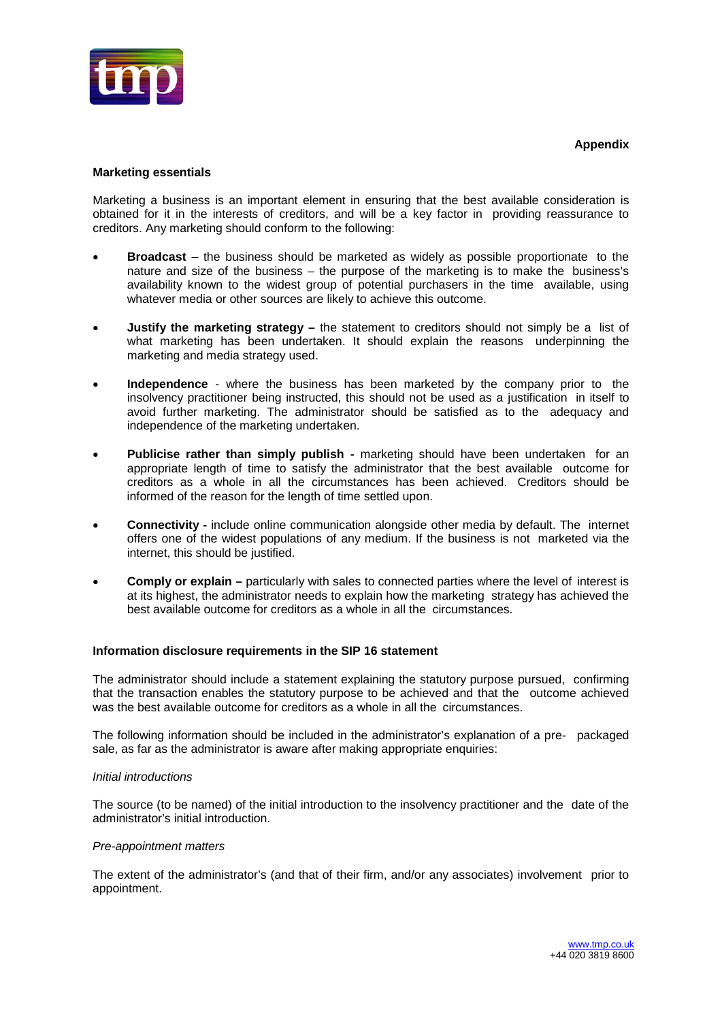

# **Marketing essentials**

Marketing a business is an important element in ensuring that the best available consideration is obtained for it in the interests of creditors, and will be a key factor in providing reassurance to creditors. Any marketing should conform to the following:

- **Broadcast**  the business should be marketed as widely as possible proportionate to the nature and size of the business – the purpose of the marketing is to make the business's availability known to the widest group of potential purchasers in the time available, using whatever media or other sources are likely to achieve this outcome.
- **Justify the marketing strategy –** the statement to creditors should not simply be a list of what marketing has been undertaken. It should explain the reasons underpinning the marketing and media strategy used.
- **Independence** where the business has been marketed by the company prior to the insolvency practitioner being instructed, this should not be used as a justification in itself to avoid further marketing. The administrator should be satisfied as to the adequacy and independence of the marketing undertaken.
- **Publicise rather than simply publish -** marketing should have been undertaken for an appropriate length of time to satisfy the administrator that the best available outcome for creditors as a whole in all the circumstances has been achieved. Creditors should be informed of the reason for the length of time settled upon.
- **Connectivity -** include online communication alongside other media by default. The internet offers one of the widest populations of any medium. If the business is not marketed via the internet, this should be justified.
- **Comply or explain –** particularly with sales to connected parties where the level of interest is at its highest, the administrator needs to explain how the marketing strategy has achieved the best available outcome for creditors as a whole in all the circumstances.

### **Information disclosure requirements in the SIP 16 statement**

The administrator should include a statement explaining the statutory purpose pursued, confirming that the transaction enables the statutory purpose to be achieved and that the outcome achieved was the best available outcome for creditors as a whole in all the circumstances.

The following information should be included in the administrator's explanation of a pre- packaged sale, as far as the administrator is aware after making appropriate enquiries:

### *Initial introductions*

The source (to be named) of the initial introduction to the insolvency practitioner and the date of the administrator's initial introduction.

### *Pre-appointment matters*

The extent of the administrator's (and that of their firm, and/or any associates) involvement prior to appointment.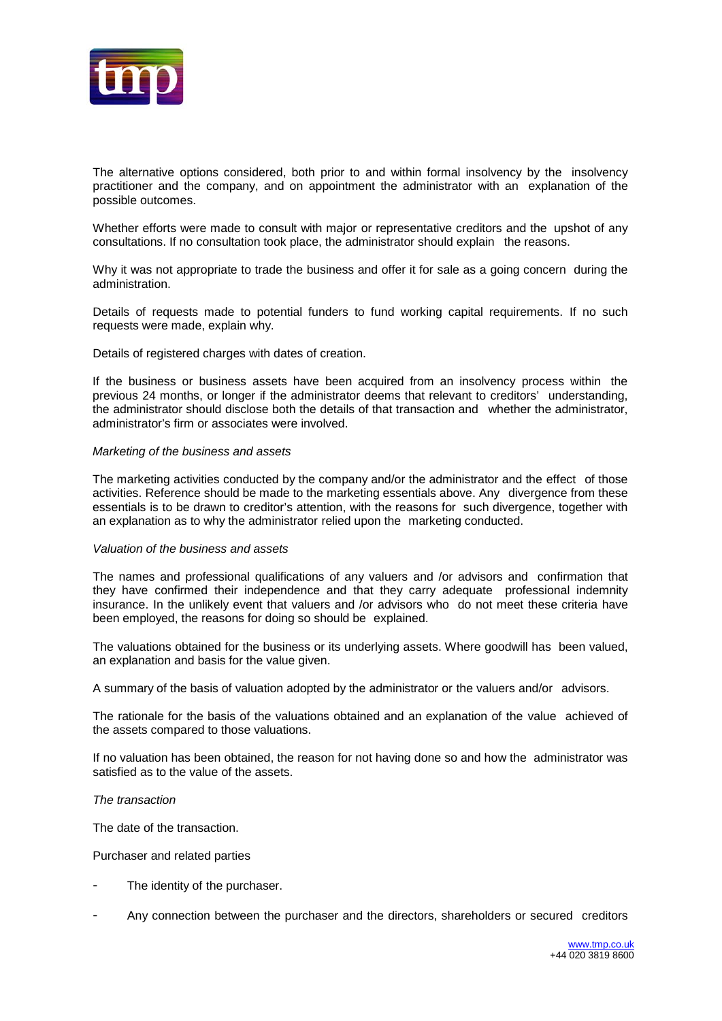

The alternative options considered, both prior to and within formal insolvency by the insolvency practitioner and the company, and on appointment the administrator with an explanation of the possible outcomes.

Whether efforts were made to consult with major or representative creditors and the upshot of any consultations. If no consultation took place, the administrator should explain the reasons.

Why it was not appropriate to trade the business and offer it for sale as a going concern during the administration.

Details of requests made to potential funders to fund working capital requirements. If no such requests were made, explain why.

Details of registered charges with dates of creation.

If the business or business assets have been acquired from an insolvency process within the previous 24 months, or longer if the administrator deems that relevant to creditors' understanding, the administrator should disclose both the details of that transaction and whether the administrator, administrator's firm or associates were involved.

#### *Marketing of the business and assets*

The marketing activities conducted by the company and/or the administrator and the effect of those activities. Reference should be made to the marketing essentials above. Any divergence from these essentials is to be drawn to creditor's attention, with the reasons for such divergence, together with an explanation as to why the administrator relied upon the marketing conducted.

#### *Valuation of the business and assets*

The names and professional qualifications of any valuers and /or advisors and confirmation that they have confirmed their independence and that they carry adequate professional indemnity insurance. In the unlikely event that valuers and /or advisors who do not meet these criteria have been employed, the reasons for doing so should be explained.

The valuations obtained for the business or its underlying assets. Where goodwill has been valued, an explanation and basis for the value given.

A summary of the basis of valuation adopted by the administrator or the valuers and/or advisors.

The rationale for the basis of the valuations obtained and an explanation of the value achieved of the assets compared to those valuations.

If no valuation has been obtained, the reason for not having done so and how the administrator was satisfied as to the value of the assets.

#### *The transaction*

The date of the transaction.

Purchaser and related parties

- The identity of the purchaser.
- Any connection between the purchaser and the directors, shareholders or secured creditors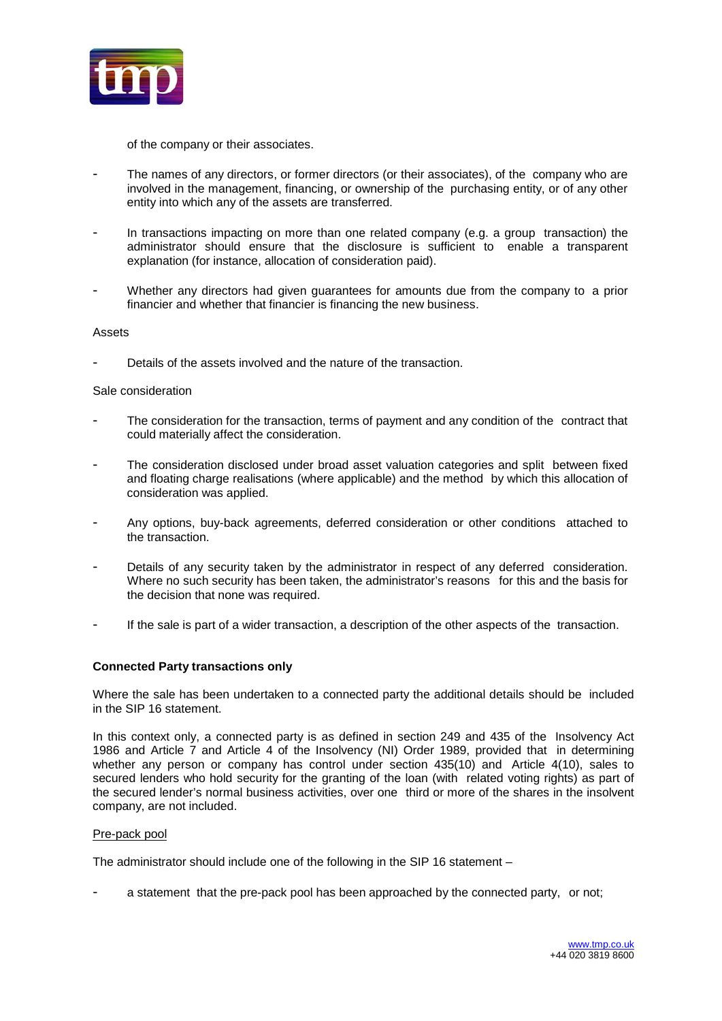

of the company or their associates.

- The names of any directors, or former directors (or their associates), of the company who are involved in the management, financing, or ownership of the purchasing entity, or of any other entity into which any of the assets are transferred.
- In transactions impacting on more than one related company (e.g. a group transaction) the administrator should ensure that the disclosure is sufficient to enable a transparent explanation (for instance, allocation of consideration paid).
- Whether any directors had given guarantees for amounts due from the company to a prior financier and whether that financier is financing the new business.

### Assets

Details of the assets involved and the nature of the transaction.

## Sale consideration

- The consideration for the transaction, terms of payment and any condition of the contract that could materially affect the consideration.
- The consideration disclosed under broad asset valuation categories and split between fixed and floating charge realisations (where applicable) and the method by which this allocation of consideration was applied.
- Any options, buy-back agreements, deferred consideration or other conditions attached to the transaction.
- Details of any security taken by the administrator in respect of any deferred consideration. Where no such security has been taken, the administrator's reasons for this and the basis for the decision that none was required.
- If the sale is part of a wider transaction, a description of the other aspects of the transaction.

# **Connected Party transactions only**

Where the sale has been undertaken to a connected party the additional details should be included in the SIP 16 statement.

In this context only, a connected party is as defined in section 249 and 435 of the Insolvency Act 1986 and Article 7 and Article 4 of the Insolvency (NI) Order 1989, provided that in determining whether any person or company has control under section 435(10) and Article 4(10), sales to secured lenders who hold security for the granting of the loan (with related voting rights) as part of the secured lender's normal business activities, over one third or more of the shares in the insolvent company, are not included.

### Pre-pack pool

The administrator should include one of the following in the SIP 16 statement –

a statement that the pre-pack pool has been approached by the connected party, or not;